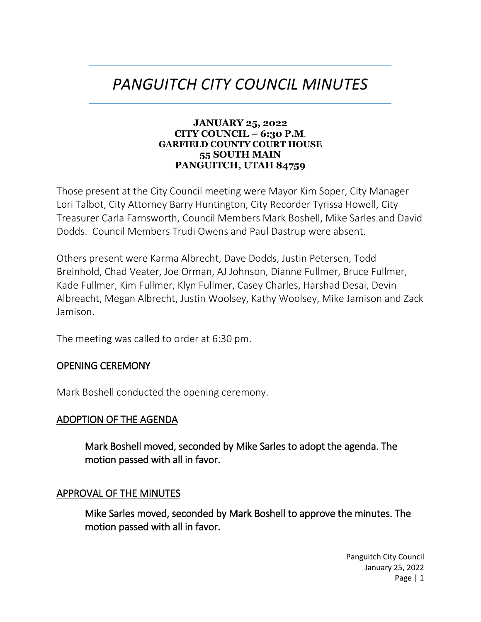# *PANGUITCH CITY COUNCIL MINUTES*

#### **JANUARY 25, 2022 CITY COUNCIL – 6:30 P.M**. **GARFIELD COUNTY COURT HOUSE 55 SOUTH MAIN PANGUITCH, UTAH 84759**

Those present at the City Council meeting were Mayor Kim Soper, City Manager Lori Talbot, City Attorney Barry Huntington, City Recorder Tyrissa Howell, City Treasurer Carla Farnsworth, Council Members Mark Boshell, Mike Sarles and David Dodds. Council Members Trudi Owens and Paul Dastrup were absent.

Others present were Karma Albrecht, Dave Dodds, Justin Petersen, Todd Breinhold, Chad Veater, Joe Orman, AJ Johnson, Dianne Fullmer, Bruce Fullmer, Kade Fullmer, Kim Fullmer, Klyn Fullmer, Casey Charles, Harshad Desai, Devin Albreacht, Megan Albrecht, Justin Woolsey, Kathy Woolsey, Mike Jamison and Zack Jamison.

The meeting was called to order at 6:30 pm.

#### OPENING CEREMONY

Mark Boshell conducted the opening ceremony.

#### ADOPTION OF THE AGENDA

Mark Boshell moved, seconded by Mike Sarles to adopt the agenda. The motion passed with all in favor.

#### APPROVAL OF THE MINUTES

Mike Sarles moved, seconded by Mark Boshell to approve the minutes. The motion passed with all in favor.

> Panguitch City Council January 25, 2022 Page | 1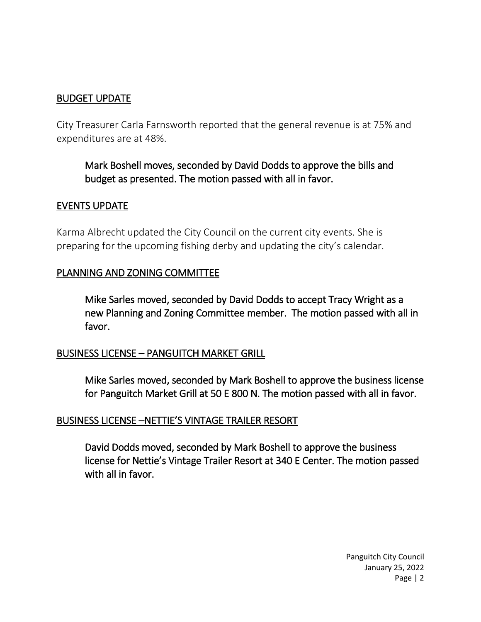## BUDGET UPDATE

City Treasurer Carla Farnsworth reported that the general revenue is at 75% and expenditures are at 48%.

Mark Boshell moves, seconded by David Dodds to approve the bills and budget as presented. The motion passed with all in favor.

#### EVENTS UPDATE

Karma Albrecht updated the City Council on the current city events. She is preparing for the upcoming fishing derby and updating the city's calendar.

#### PLANNING AND ZONING COMMITTEE

Mike Sarles moved, seconded by David Dodds to accept Tracy Wright as a new Planning and Zoning Committee member. The motion passed with all in favor.

## BUSINESS LICENSE – PANGUITCH MARKET GRILL

Mike Sarles moved, seconded by Mark Boshell to approve the business license for Panguitch Market Grill at 50 E 800 N. The motion passed with all in favor.

## BUSINESS LICENSE –NETTIE'S VINTAGE TRAILER RESORT

David Dodds moved, seconded by Mark Boshell to approve the business license for Nettie's Vintage Trailer Resort at 340 E Center. The motion passed with all in favor.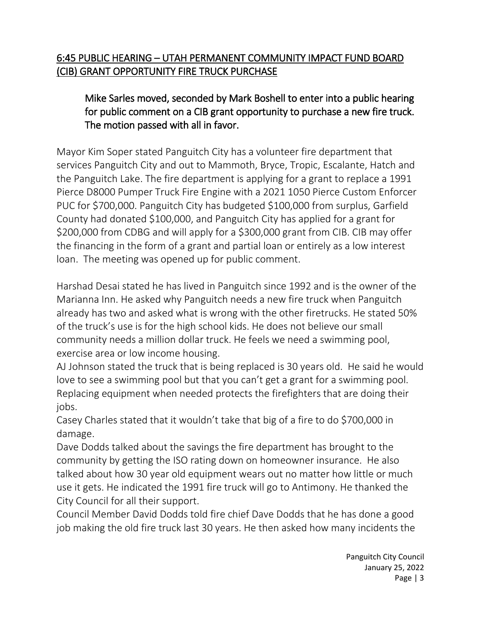## 6:45 PUBLIC HEARING – UTAH PERMANENT COMMUNITY IMPACT FUND BOARD (CIB) GRANT OPPORTUNITY FIRE TRUCK PURCHASE

## Mike Sarles moved, seconded by Mark Boshell to enter into a public hearing for public comment on a CIB grant opportunity to purchase a new fire truck. The motion passed with all in favor.

Mayor Kim Soper stated Panguitch City has a volunteer fire department that services Panguitch City and out to Mammoth, Bryce, Tropic, Escalante, Hatch and the Panguitch Lake. The fire department is applying for a grant to replace a 1991 Pierce D8000 Pumper Truck Fire Engine with a 2021 1050 Pierce Custom Enforcer PUC for \$700,000. Panguitch City has budgeted \$100,000 from surplus, Garfield County had donated \$100,000, and Panguitch City has applied for a grant for \$200,000 from CDBG and will apply for a \$300,000 grant from CIB. CIB may offer the financing in the form of a grant and partial loan or entirely as a low interest loan. The meeting was opened up for public comment.

Harshad Desai stated he has lived in Panguitch since 1992 and is the owner of the Marianna Inn. He asked why Panguitch needs a new fire truck when Panguitch already has two and asked what is wrong with the other firetrucks. He stated 50% of the truck's use is for the high school kids. He does not believe our small community needs a million dollar truck. He feels we need a swimming pool, exercise area or low income housing.

AJ Johnson stated the truck that is being replaced is 30 years old. He said he would love to see a swimming pool but that you can't get a grant for a swimming pool. Replacing equipment when needed protects the firefighters that are doing their jobs.

Casey Charles stated that it wouldn't take that big of a fire to do \$700,000 in damage.

Dave Dodds talked about the savings the fire department has brought to the community by getting the ISO rating down on homeowner insurance. He also talked about how 30 year old equipment wears out no matter how little or much use it gets. He indicated the 1991 fire truck will go to Antimony. He thanked the City Council for all their support.

Council Member David Dodds told fire chief Dave Dodds that he has done a good job making the old fire truck last 30 years. He then asked how many incidents the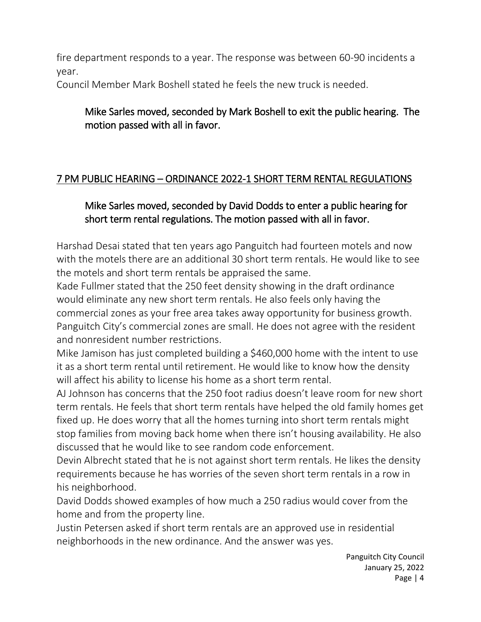fire department responds to a year. The response was between 60-90 incidents a year.

Council Member Mark Boshell stated he feels the new truck is needed.

## Mike Sarles moved, seconded by Mark Boshell to exit the public hearing. The motion passed with all in favor.

## 7 PM PUBLIC HEARING – ORDINANCE 2022-1 SHORT TERM RENTAL REGULATIONS

## Mike Sarles moved, seconded by David Dodds to enter a public hearing for short term rental regulations. The motion passed with all in favor.

Harshad Desai stated that ten years ago Panguitch had fourteen motels and now with the motels there are an additional 30 short term rentals. He would like to see the motels and short term rentals be appraised the same.

Kade Fullmer stated that the 250 feet density showing in the draft ordinance would eliminate any new short term rentals. He also feels only having the commercial zones as your free area takes away opportunity for business growth. Panguitch City's commercial zones are small. He does not agree with the resident and nonresident number restrictions.

Mike Jamison has just completed building a \$460,000 home with the intent to use it as a short term rental until retirement. He would like to know how the density will affect his ability to license his home as a short term rental.

AJ Johnson has concerns that the 250 foot radius doesn't leave room for new short term rentals. He feels that short term rentals have helped the old family homes get fixed up. He does worry that all the homes turning into short term rentals might stop families from moving back home when there isn't housing availability. He also discussed that he would like to see random code enforcement.

Devin Albrecht stated that he is not against short term rentals. He likes the density requirements because he has worries of the seven short term rentals in a row in his neighborhood.

David Dodds showed examples of how much a 250 radius would cover from the home and from the property line.

Justin Petersen asked if short term rentals are an approved use in residential neighborhoods in the new ordinance. And the answer was yes.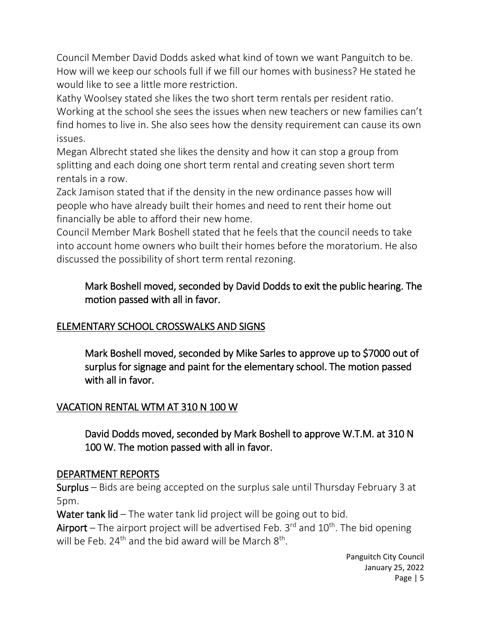Council Member David Dodds asked what kind of town we want Panguitch to be. How will we keep our schools full if we fill our homes with business? He stated he would like to see a little more restriction.

Kathy Woolsey stated she likes the two short term rentals per resident ratio. Working at the school she sees the issues when new teachers or new families can't find homes to live in. She also sees how the density requirement can cause its own issues.

Megan Albrecht stated she likes the density and how it can stop a group from splitting and each doing one short term rental and creating seven short term rentals in a row.

Zack Jamison stated that if the density in the new ordinance passes how will people who have already built their homes and need to rent their home out financially be able to afford their new home.

Council Member Mark Boshell stated that he feels that the council needs to take into account home owners who built their homes before the moratorium. He also discussed the possibility of short term rental rezoning.

## Mark Boshell moved, seconded by David Dodds to exit the public hearing. The motion passed with all in favor.

## ELEMENTARY SCHOOL CROSSWALKS AND SIGNS

Mark Boshell moved, seconded by Mike Sarles to approve up to \$7000 out of surplus for signage and paint for the elementary school. The motion passed with all in favor.

## VACATION RENTAL WTM AT 310 N 100 W

David Dodds moved, seconded by Mark Boshell to approve W.T.M. at 310 N 100 W. The motion passed with all in favor.

## DEPARTMENT REPORTS

Surplus – Bids are being accepted on the surplus sale until Thursday February 3 at 5pm.

Water tank lid – The water tank lid project will be going out to bid.

Airport – The airport project will be advertised Feb.  $3^{rd}$  and  $10^{th}$ . The bid opening will be Feb. 24<sup>th</sup> and the bid award will be March  $8^{th}$ .